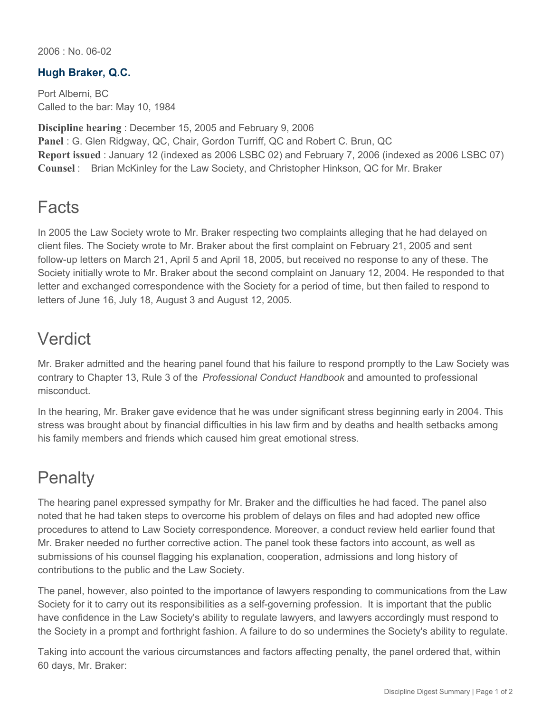2006 : No. 06-02

## **Hugh Braker, Q.C.**

Port Alberni, BC Called to the bar: May 10, 1984

**Discipline hearing** : December 15, 2005 and February 9, 2006 **Panel** : G. Glen Ridgway, QC, Chair, Gordon Turriff, QC and Robert C. Brun, QC **Report issued** : January 12 (indexed as 2006 LSBC 02) and February 7, 2006 (indexed as 2006 LSBC 07) **Counsel** : Brian McKinley for the Law Society, and Christopher Hinkson, QC for Mr. Braker

## **Facts**

In 2005 the Law Society wrote to Mr. Braker respecting two complaints alleging that he had delayed on client files. The Society wrote to Mr. Braker about the first complaint on February 21, 2005 and sent follow-up letters on March 21, April 5 and April 18, 2005, but received no response to any of these. The Society initially wrote to Mr. Braker about the second complaint on January 12, 2004. He responded to that letter and exchanged correspondence with the Society for a period of time, but then failed to respond to letters of June 16, July 18, August 3 and August 12, 2005.

## Verdict

Mr. Braker admitted and the hearing panel found that his failure to respond promptly to the Law Society was contrary to Chapter 13, Rule 3 of the *Professional Conduct Handbook* and amounted to professional misconduct.

In the hearing, Mr. Braker gave evidence that he was under significant stress beginning early in 2004. This stress was brought about by financial difficulties in his law firm and by deaths and health setbacks among his family members and friends which caused him great emotional stress.

## **Penalty**

The hearing panel expressed sympathy for Mr. Braker and the difficulties he had faced. The panel also noted that he had taken steps to overcome his problem of delays on files and had adopted new office procedures to attend to Law Society correspondence. Moreover, a conduct review held earlier found that Mr. Braker needed no further corrective action. The panel took these factors into account, as well as submissions of his counsel flagging his explanation, cooperation, admissions and long history of contributions to the public and the Law Society.

The panel, however, also pointed to the importance of lawyers responding to communications from the Law Society for it to carry out its responsibilities as a self-governing profession. It is important that the public have confidence in the Law Society's ability to regulate lawyers, and lawyers accordingly must respond to the Society in a prompt and forthright fashion. A failure to do so undermines the Society's ability to regulate.

Taking into account the various circumstances and factors affecting penalty, the panel ordered that, within 60 days, Mr. Braker: